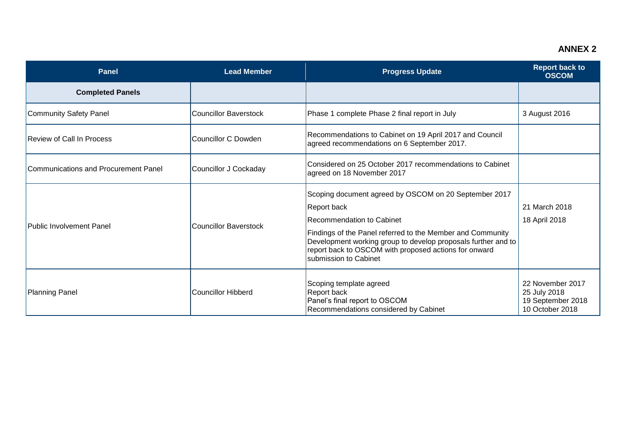## **ANNEX 2**

| <b>Panel</b>                         | <b>Lead Member</b>           | <b>Progress Update</b>                                                                                                                                                                                                                                                                                             | <b>Report back to</b><br><b>OSCOM</b>                                    |
|--------------------------------------|------------------------------|--------------------------------------------------------------------------------------------------------------------------------------------------------------------------------------------------------------------------------------------------------------------------------------------------------------------|--------------------------------------------------------------------------|
| <b>Completed Panels</b>              |                              |                                                                                                                                                                                                                                                                                                                    |                                                                          |
| Community Safety Panel               | <b>Councillor Baverstock</b> | Phase 1 complete Phase 2 final report in July                                                                                                                                                                                                                                                                      | 3 August 2016                                                            |
| <b>Review of Call In Process</b>     | <b>Councillor C Dowden</b>   | Recommendations to Cabinet on 19 April 2017 and Council<br>agreed recommendations on 6 September 2017.                                                                                                                                                                                                             |                                                                          |
| Communications and Procurement Panel | Councillor J Cockaday        | Considered on 25 October 2017 recommendations to Cabinet<br>agreed on 18 November 2017                                                                                                                                                                                                                             |                                                                          |
| <b>Public Involvement Panel</b>      | Councillor Baverstock        | Scoping document agreed by OSCOM on 20 September 2017<br>Report back<br>Recommendation to Cabinet<br>Findings of the Panel referred to the Member and Community<br>Development working group to develop proposals further and to<br>report back to OSCOM with proposed actions for onward<br>submission to Cabinet | 21 March 2018<br>18 April 2018                                           |
| Planning Panel                       | <b>Councillor Hibberd</b>    | Scoping template agreed<br>Report back<br>Panel's final report to OSCOM<br>Recommendations considered by Cabinet                                                                                                                                                                                                   | 22 November 2017<br>25 July 2018<br>19 September 2018<br>10 October 2018 |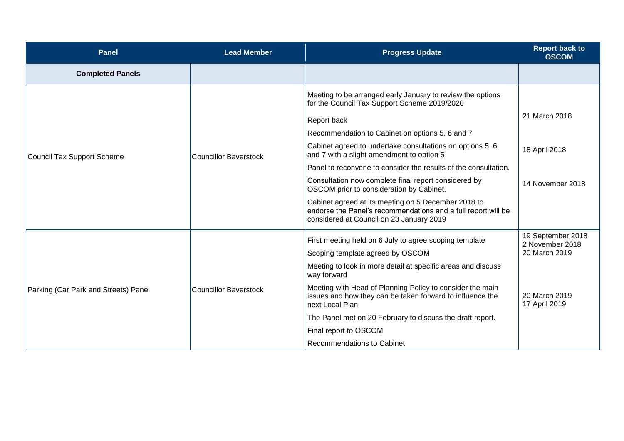| <b>Panel</b>                         | <b>Lead Member</b>    | <b>Progress Update</b>                                                                                                                                                                                                                                                                                                                                                                                                                                                                                                                                                                                                                   | <b>Report back to</b><br><b>OSCOM</b>                                                   |
|--------------------------------------|-----------------------|------------------------------------------------------------------------------------------------------------------------------------------------------------------------------------------------------------------------------------------------------------------------------------------------------------------------------------------------------------------------------------------------------------------------------------------------------------------------------------------------------------------------------------------------------------------------------------------------------------------------------------------|-----------------------------------------------------------------------------------------|
| <b>Completed Panels</b>              |                       |                                                                                                                                                                                                                                                                                                                                                                                                                                                                                                                                                                                                                                          |                                                                                         |
| Council Tax Support Scheme           | Councillor Baverstock | Meeting to be arranged early January to review the options<br>for the Council Tax Support Scheme 2019/2020<br><b>Report back</b><br>Recommendation to Cabinet on options 5, 6 and 7<br>Cabinet agreed to undertake consultations on options 5, 6<br>and 7 with a slight amendment to option 5<br>Panel to reconvene to consider the results of the consultation.<br>Consultation now complete final report considered by<br>OSCOM prior to consideration by Cabinet.<br>Cabinet agreed at its meeting on 5 December 2018 to<br>endorse the Panel's recommendations and a full report will be<br>considered at Council on 23 January 2019 | 21 March 2018<br>18 April 2018<br>14 November 2018                                      |
| Parking (Car Park and Streets) Panel | Councillor Baverstock | First meeting held on 6 July to agree scoping template<br>Scoping template agreed by OSCOM<br>Meeting to look in more detail at specific areas and discuss<br>way forward<br>Meeting with Head of Planning Policy to consider the main<br>issues and how they can be taken forward to influence the<br>next Local Plan<br>The Panel met on 20 February to discuss the draft report.<br>Final report to OSCOM<br><b>Recommendations to Cabinet</b>                                                                                                                                                                                        | 19 September 2018<br>2 November 2018<br>20 March 2019<br>20 March 2019<br>17 April 2019 |